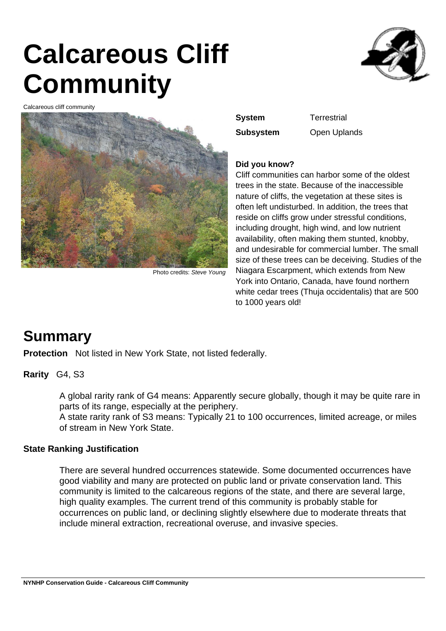# **Calcareous Cliff Community**



Calcareous cliff community



Photo credits: Steve Young

**System Terrestrial** 

**Subsystem** Open Uplands

### **Did you know?**

Cliff communities can harbor some of the oldest trees in the state. Because of the inaccessible nature of cliffs, the vegetation at these sites is often left undisturbed. In addition, the trees that reside on cliffs grow under stressful conditions, including drought, high wind, and low nutrient availability, often making them stunted, knobby, and undesirable for commercial lumber. The small size of these trees can be deceiving. Studies of the Niagara Escarpment, which extends from New York into Ontario, Canada, have found northern white cedar trees (Thuja occidentalis) that are 500 to 1000 years old!

### **Summary**

**Protection** Not listed in New York State, not listed federally.

### **Rarity** G4, S3

A global rarity rank of G4 means: Apparently secure globally, though it may be quite rare in parts of its range, especially at the periphery.

A state rarity rank of S3 means: Typically 21 to 100 occurrences, limited acreage, or miles of stream in New York State.

### **State Ranking Justification**

There are several hundred occurrences statewide. Some documented occurrences have good viability and many are protected on public land or private conservation land. This community is limited to the calcareous regions of the state, and there are several large, high quality examples. The current trend of this community is probably stable for occurrences on public land, or declining slightly elsewhere due to moderate threats that include mineral extraction, recreational overuse, and invasive species.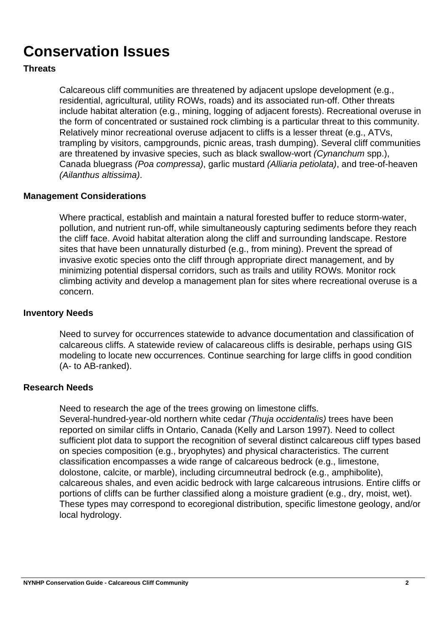# **Conservation Issues**

### **Threats**

Calcareous cliff communities are threatened by adjacent upslope development (e.g., residential, agricultural, utility ROWs, roads) and its associated run-off. Other threats include habitat alteration (e.g., mining, logging of adjacent forests). Recreational overuse in the form of concentrated or sustained rock climbing is a particular threat to this community. Relatively minor recreational overuse adjacent to cliffs is a lesser threat (e.g., ATVs, trampling by visitors, campgrounds, picnic areas, trash dumping). Several cliff communities are threatened by invasive species, such as black swallow-wort (Cynanchum spp.), Canada bluegrass (Poa compressa), garlic mustard (Alliaria petiolata), and tree-of-heaven (Ailanthus altissima).

### **Management Considerations**

Where practical, establish and maintain a natural forested buffer to reduce storm-water, pollution, and nutrient run-off, while simultaneously capturing sediments before they reach the cliff face. Avoid habitat alteration along the cliff and surrounding landscape. Restore sites that have been unnaturally disturbed (e.g., from mining). Prevent the spread of invasive exotic species onto the cliff through appropriate direct management, and by minimizing potential dispersal corridors, such as trails and utility ROWs. Monitor rock climbing activity and develop a management plan for sites where recreational overuse is a concern.

### **Inventory Needs**

Need to survey for occurrences statewide to advance documentation and classification of calcareous cliffs. A statewide review of calacareous cliffs is desirable, perhaps using GIS modeling to locate new occurrences. Continue searching for large cliffs in good condition (A- to AB-ranked).

### **Research Needs**

Need to research the age of the trees growing on limestone cliffs.

Several-hundred-year-old northern white cedar (Thuja occidentalis) trees have been reported on similar cliffs in Ontario, Canada (Kelly and Larson 1997). Need to collect sufficient plot data to support the recognition of several distinct calcareous cliff types based on species composition (e.g., bryophytes) and physical characteristics. The current classification encompasses a wide range of calcareous bedrock (e.g., limestone, dolostone, calcite, or marble), including circumneutral bedrock (e.g., amphibolite), calcareous shales, and even acidic bedrock with large calcareous intrusions. Entire cliffs or portions of cliffs can be further classified along a moisture gradient (e.g., dry, moist, wet). These types may correspond to ecoregional distribution, specific limestone geology, and/or local hydrology.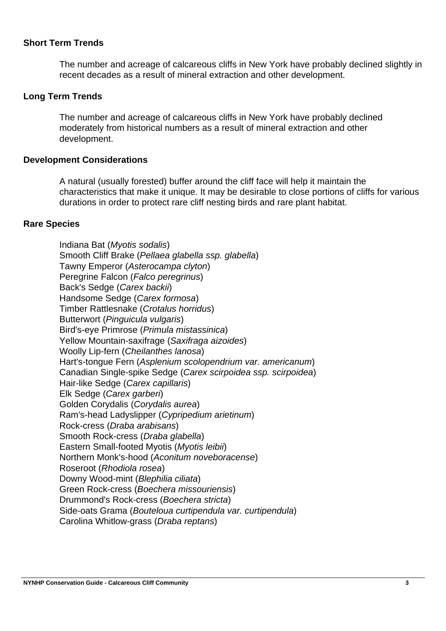### **Short Term Trends**

The number and acreage of calcareous cliffs in New York have probably declined slightly in recent decades as a result of mineral extraction and other development.

### **Long Term Trends**

The number and acreage of calcareous cliffs in New York have probably declined moderately from historical numbers as a result of mineral extraction and other development.

### **Development Considerations**

A natural (usually forested) buffer around the cliff face will help it maintain the characteristics that make it unique. It may be desirable to close portions of cliffs for various durations in order to protect rare cliff nesting birds and rare plant habitat.

### **Rare Species**

Indiana Bat (Myotis sodalis) Smooth Cliff Brake (Pellaea glabella ssp. glabella) Tawny Emperor (Asterocampa clyton) Peregrine Falcon (Falco peregrinus) Back's Sedge (Carex backii) Handsome Sedge (Carex formosa) Timber Rattlesnake (Crotalus horridus) Butterwort (Pinguicula vulgaris) Bird's-eye Primrose (Primula mistassinica) Yellow Mountain-saxifrage (Saxifraga aizoides) Woolly Lip-fern (Cheilanthes lanosa) Hart's-tongue Fern (Asplenium scolopendrium var. americanum) Canadian Single-spike Sedge (Carex scirpoidea ssp. scirpoidea) Hair-like Sedge (Carex capillaris) Elk Sedge (Carex garberi) Golden Corydalis (Corydalis aurea) Ram's-head Ladyslipper (Cypripedium arietinum) Rock-cress (Draba arabisans) Smooth Rock-cress (Draba glabella) Eastern Small-footed Myotis (Myotis leibii) Northern Monk's-hood (Aconitum noveboracense) Roseroot (Rhodiola rosea) Downy Wood-mint (Blephilia ciliata) Green Rock-cress (Boechera missouriensis) Drummond's Rock-cress (Boechera stricta) Side-oats Grama (Bouteloua curtipendula var. curtipendula) Carolina Whitlow-grass (Draba reptans)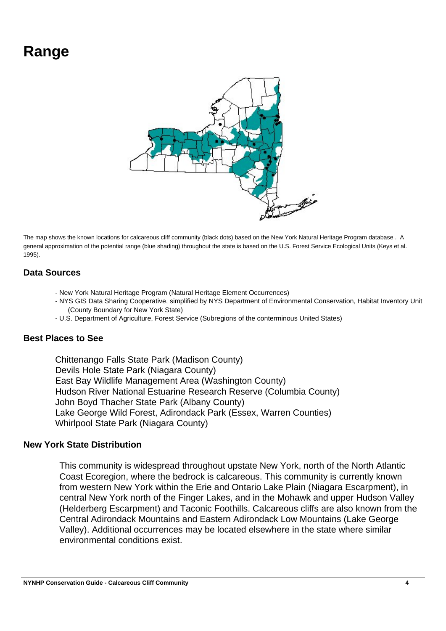## **Range**



The map shows the known locations for calcareous cliff community (black dots) based on the New York Natural Heritage Program database . A general approximation of the potential range (blue shading) throughout the state is based on the U.S. Forest Service Ecological Units (Keys et al. 1995).

### **Data Sources**

- New York Natural Heritage Program (Natural Heritage Element Occurrences)
- NYS GIS Data Sharing Cooperative, simplified by NYS Department of Environmental Conservation, Habitat Inventory Unit (County Boundary for New York State)
- U.S. Department of Agriculture, Forest Service (Subregions of the conterminous United States)

### **Best Places to See**

Chittenango Falls State Park (Madison County) Devils Hole State Park (Niagara County) East Bay Wildlife Management Area (Washington County) Hudson River National Estuarine Research Reserve (Columbia County) John Boyd Thacher State Park (Albany County) Lake George Wild Forest, Adirondack Park (Essex, Warren Counties) Whirlpool State Park (Niagara County)

### **New York State Distribution**

This community is widespread throughout upstate New York, north of the North Atlantic Coast Ecoregion, where the bedrock is calcareous. This community is currently known from western New York within the Erie and Ontario Lake Plain (Niagara Escarpment), in central New York north of the Finger Lakes, and in the Mohawk and upper Hudson Valley (Helderberg Escarpment) and Taconic Foothills. Calcareous cliffs are also known from the Central Adirondack Mountains and Eastern Adirondack Low Mountains (Lake George Valley). Additional occurrences may be located elsewhere in the state where similar environmental conditions exist.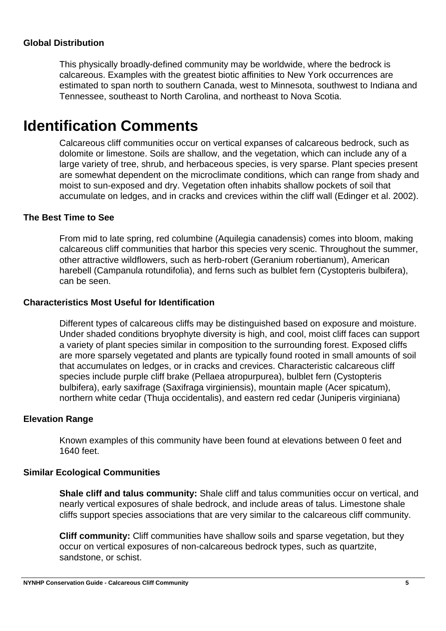### **Global Distribution**

This physically broadly-defined community may be worldwide, where the bedrock is calcareous. Examples with the greatest biotic affinities to New York occurrences are estimated to span north to southern Canada, west to Minnesota, southwest to Indiana and Tennessee, southeast to North Carolina, and northeast to Nova Scotia.

### **Identification Comments**

Calcareous cliff communities occur on vertical expanses of calcareous bedrock, such as dolomite or limestone. Soils are shallow, and the vegetation, which can include any of a large variety of tree, shrub, and herbaceous species, is very sparse. Plant species present are somewhat dependent on the microclimate conditions, which can range from shady and moist to sun-exposed and dry. Vegetation often inhabits shallow pockets of soil that accumulate on ledges, and in cracks and crevices within the cliff wall (Edinger et al. 2002).

### **The Best Time to See**

From mid to late spring, red columbine (Aquilegia canadensis) comes into bloom, making calcareous cliff communities that harbor this species very scenic. Throughout the summer, other attractive wildflowers, such as herb-robert (Geranium robertianum), American harebell (Campanula rotundifolia), and ferns such as bulblet fern (Cystopteris bulbifera), can be seen.

### **Characteristics Most Useful for Identification**

Different types of calcareous cliffs may be distinguished based on exposure and moisture. Under shaded conditions bryophyte diversity is high, and cool, moist cliff faces can support a variety of plant species similar in composition to the surrounding forest. Exposed cliffs are more sparsely vegetated and plants are typically found rooted in small amounts of soil that accumulates on ledges, or in cracks and crevices. Characteristic calcareous cliff species include purple cliff brake (Pellaea atropurpurea), bulblet fern (Cystopteris bulbifera), early saxifrage (Saxifraga virginiensis), mountain maple (Acer spicatum), northern white cedar (Thuja occidentalis), and eastern red cedar (Juniperis virginiana)

### **Elevation Range**

Known examples of this community have been found at elevations between 0 feet and 1640 feet.

### **Similar Ecological Communities**

**Shale cliff and talus community:** Shale cliff and talus communities occur on vertical, and nearly vertical exposures of shale bedrock, and include areas of talus. Limestone shale cliffs support species associations that are very similar to the calcareous cliff community.

**Cliff community:** Cliff communities have shallow soils and sparse vegetation, but they occur on vertical exposures of non-calcareous bedrock types, such as quartzite, sandstone, or schist.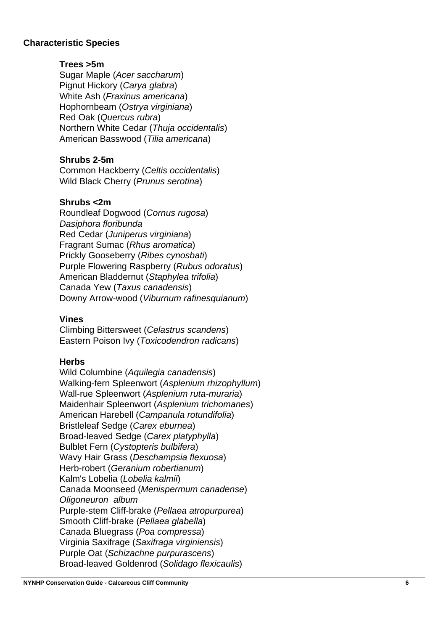### **Characteristic Species**

### **Trees >5m**

Sugar Maple (Acer saccharum) Pignut Hickory (Carya glabra) White Ash (Fraxinus americana) Hophornbeam (Ostrya virginiana) Red Oak (Quercus rubra) Northern White Cedar (Thuja occidentalis) American Basswood (Tilia americana)

### **Shrubs 2-5m**

Common Hackberry (Celtis occidentalis) Wild Black Cherry (Prunus serotina)

### **Shrubs <2m**

Roundleaf Dogwood (Cornus rugosa) Dasiphora floribunda Red Cedar (Juniperus virginiana) Fragrant Sumac (Rhus aromatica) Prickly Gooseberry (Ribes cynosbati) Purple Flowering Raspberry (Rubus odoratus) American Bladdernut (Staphylea trifolia) Canada Yew (Taxus canadensis) Downy Arrow-wood (Viburnum rafinesquianum)

### **Vines**

Climbing Bittersweet (Celastrus scandens) Eastern Poison Ivy (Toxicodendron radicans)

### **Herbs**

Wild Columbine (Aquilegia canadensis) Walking-fern Spleenwort (Asplenium rhizophyllum) Wall-rue Spleenwort (Asplenium ruta-muraria) Maidenhair Spleenwort (Asplenium trichomanes) American Harebell (Campanula rotundifolia) Bristleleaf Sedge (Carex eburnea) Broad-leaved Sedge (Carex platyphylla) Bulblet Fern (Cystopteris bulbifera ) Wavy Hair Grass (Deschampsia flexuosa) Herb-robert (Geranium robertianum) Kalm's Lobelia (Lobelia kalmii) Canada Moonseed (Menispermum canadense ) Oligoneuron album Purple-stem Cliff-brake (Pellaea atropurpurea) Smooth Cliff-brake (Pellaea glabella) Canada Bluegrass (Poa compressa) Virginia Saxifrage (Saxifraga virginiensis) Purple Oat (Schizachne purpurascens ) Broad-leaved Goldenrod (Solidago flexicaulis)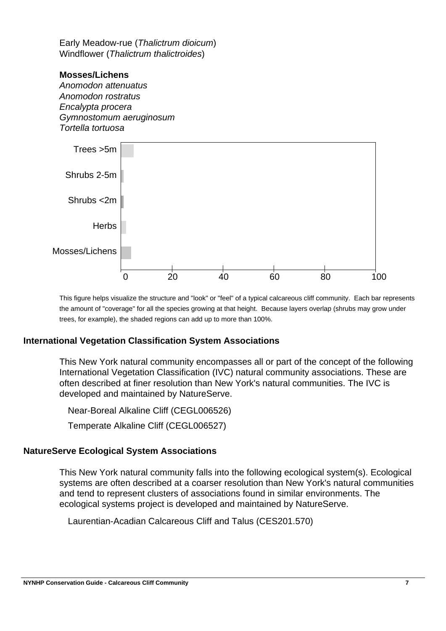Early Meadow-rue (Thalictrum dioicum) Windflower (Thalictrum thalictroides)

### **Mosses/Lichens**

Anomodon attenuatus Anomodon rostratus Encalypta procera Gymnostomum aeruginosum Tortella tortuosa



This figure helps visualize the structure and "look" or "feel" of a typical calcareous cliff community. Each bar represents the amount of "coverage" for all the species growing at that height. Because layers overlap (shrubs may grow under trees, for example), the shaded regions can add up to more than 100%.

### **International Vegetation Classification System Associations**

This New York natural community encompasses all or part of the concept of the following International Vegetation Classification (IVC) natural community associations. These are often described at finer resolution than New York's natural communities. The IVC is developed and maintained by NatureServe.

Near-Boreal Alkaline Cliff (CEGL006526)

Temperate Alkaline Cliff (CEGL006527)

### **NatureServe Ecological System Associations**

This New York natural community falls into the following ecological system(s). Ecological systems are often described at a coarser resolution than New York's natural communities and tend to represent clusters of associations found in similar environments. The ecological systems project is developed and maintained by NatureServe.

Laurentian-Acadian Calcareous Cliff and Talus (CES201.570)